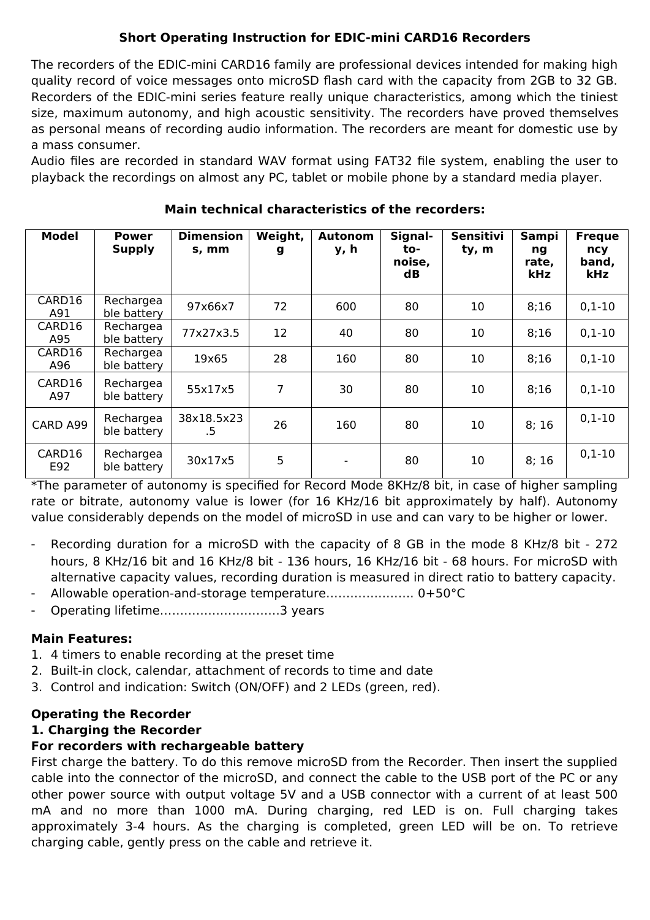# **Short Operating Instruction for EDIC-mini CARD16 Recorders**

The recorders of the EDIC-mini CARD16 family are professional devices intended for making high quality record of voice messages onto microSD flash card with the capacity from 2GB to 32 GB. Recorders of the EDIC-mini series feature really unique characteristics, among which the tiniest size, maximum autonomy, and high acoustic sensitivity. The recorders have proved themselves as personal means of recording audio information. The recorders are meant for domestic use by a mass consumer.

Audio files are recorded in standard WAV format using FAT32 file system, enabling the user to playback the recordings on almost any PC, tablet or mobile phone by a standard media player.

| <b>Model</b>  | <b>Power</b><br><b>Supply</b> | <b>Dimension</b><br>s, mm | Weight,<br>g | <b>Autonom</b><br>y, h | Signal-<br>to-<br>noise,<br>$\mathbf d\mathbf B$ | <b>Sensitivi</b><br>ty, m | Sampi<br>ng<br>rate,<br>kHz | <b>Freque</b><br>ncy<br>band,<br>kHz |
|---------------|-------------------------------|---------------------------|--------------|------------------------|--------------------------------------------------|---------------------------|-----------------------------|--------------------------------------|
| CARD16<br>A91 | Rechargea<br>ble battery      | 97x66x7                   | 72           | 600                    | 80                                               | 10                        | 8:16                        | $0,1-10$                             |
| CARD16<br>A95 | Rechargea<br>ble battery      | 77x27x3.5                 | 12           | 40                     | 80                                               | 10                        | 8;16                        | $0,1-10$                             |
| CARD16<br>A96 | Rechargea<br>ble battery      | 19x65                     | 28           | 160                    | 80                                               | 10                        | 8;16                        | $0,1-10$                             |
| CARD16<br>A97 | Rechargea<br>ble battery      | 55x17x5                   | 7            | 30                     | 80                                               | 10                        | 8;16                        | $0,1-10$                             |
| CARD A99      | Rechargea<br>ble battery      | 38x18.5x23<br>.5          | 26           | 160                    | 80                                               | 10                        | 8;16                        | $0,1-10$                             |
| CARD16<br>E92 | Rechargea<br>ble battery      | 30x17x5                   | 5            |                        | 80                                               | 10                        | 8;16                        | $0,1-10$                             |

#### **Main technical characteristics of the recorders:**

\*The parameter of autonomy is specified for Record Mode 8KHz/8 bit, in case of higher sampling rate or bitrate, autonomy value is lower (for 16 KHz/16 bit approximately by half). Autonomy value considerably depends on the model of microSD in use and can vary to be higher or lower.

- Recording duration for a microSD with the capacity of 8 GB in the mode 8 KHz/8 bit 272 hours, 8 KHz/16 bit and 16 KHz/8 bit - 136 hours, 16 KHz/16 bit - 68 hours. For microSD with alternative capacity values, recording duration is measured in direct ratio to battery capacity.
- Allowable operation-and-storage temperature…………………. 0+50°C
- Operating lifetime…………………………3 years

## **Main Features:**

- 1. 4 timers to enable recording at the preset time
- 2. Built-in clock, calendar, attachment of records to time and date
- 3. Control and indication: Switch (ON/OFF) and 2 LEDs (green, red).

## **Operating the Recorder**

#### **1. Charging the Recorder**

## **For recorders with rechargeable battery**

First charge the battery. To do this remove microSD from the Recorder. Then insert the supplied cable into the connector of the microSD, and connect the cable to the USB port of the PC or any other power source with output voltage 5V and a USB connector with a current of at least 500 mA and no more than 1000 mA. During charging, red LED is on. Full charging takes approximately 3-4 hours. As the charging is completed, green LED will be on. To retrieve charging cable, gently press on the cable and retrieve it.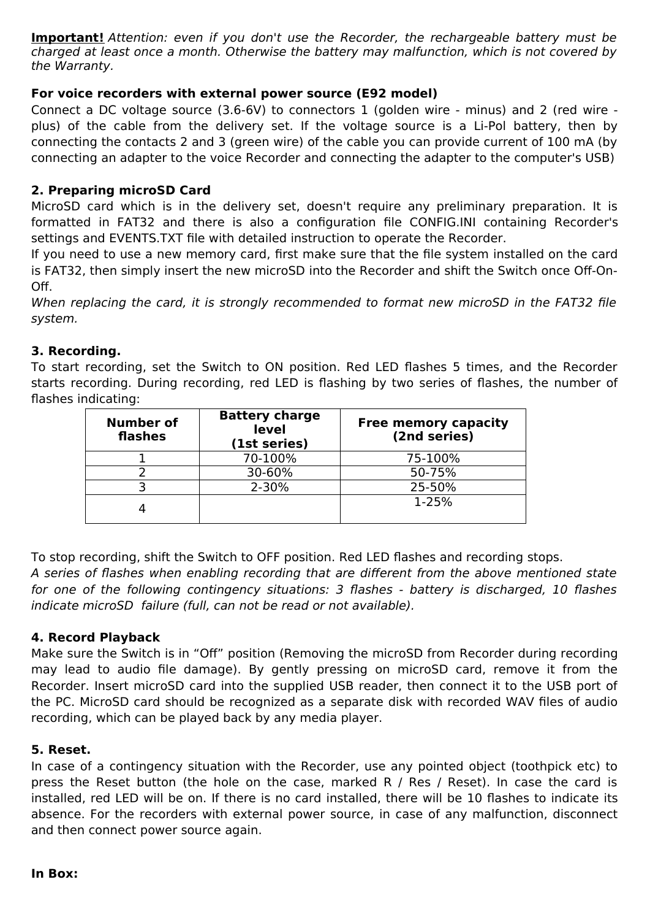**Important!** Attention: even if you don't use the Recorder, the rechargeable battery must be charged at least once a month. Otherwise the battery may malfunction, which is not covered by the Warranty.

#### **For voice recorders with external power source (E92 model)**

Connect a DC voltage source (3.6-6V) to connectors 1 (golden wire - minus) and 2 (red wire plus) of the cable from the delivery set. If the voltage source is a Li-Pol battery, then by connecting the contacts 2 and 3 (green wire) of the cable you can provide current of 100 mA (by connecting an adapter to the voice Recorder and connecting the adapter to the computer's USB)

#### **2. Preparing microSD Card**

MicroSD card which is in the delivery set, doesn't require any preliminary preparation. It is formatted in FAT32 and there is also a configuration file CONFIG.INI containing Recorder's settings and EVENTS.TXT file with detailed instruction to operate the Recorder.

If you need to use a new memory card, first make sure that the file system installed on the card is FAT32, then simply insert the new microSD into the Recorder and shift the Switch once Off-On-Off.

When replacing the card, it is strongly recommended to format new microSD in the FAT32 file system.

#### **3. Recording.**

To start recording, set the Switch to ON position. Red LED flashes 5 times, and the Recorder starts recording. During recording, red LED is flashing by two series of flashes, the number of flashes indicating:

| <b>Number of</b><br>flashes | <b>Battery charge</b><br>level<br>(1st series) | <b>Free memory capacity</b><br>(2nd series) |
|-----------------------------|------------------------------------------------|---------------------------------------------|
|                             | 70-100%                                        | 75-100%                                     |
|                             | 30-60%                                         | 50-75%                                      |
|                             | 2-30%                                          | 25-50%                                      |
|                             |                                                | $1 - 25%$                                   |

To stop recording, shift the Switch to OFF position. Red LED flashes and recording stops.

A series of flashes when enabling recording that are different from the above mentioned state for one of the following contingency situations: 3 flashes - battery is discharged, 10 flashes indicate microSD failure (full, can not be read or not available).

#### **4. Record Playback**

Make sure the Switch is in "Off" position (Removing the microSD from Recorder during recording may lead to audio file damage). By gently pressing on microSD card, remove it from the Recorder. Insert microSD card into the supplied USB reader, then connect it to the USB port of the PC. MicroSD card should be recognized as a separate disk with recorded WAV files of audio recording, which can be played back by any media player.

#### **5. Reset.**

In case of a contingency situation with the Recorder, use any pointed object (toothpick etc) to press the Reset button (the hole on the case, marked R / Res / Reset). In case the card is installed, red LED will be on. If there is no card installed, there will be 10 flashes to indicate its absence. For the recorders with external power source, in case of any malfunction, disconnect and then connect power source again.